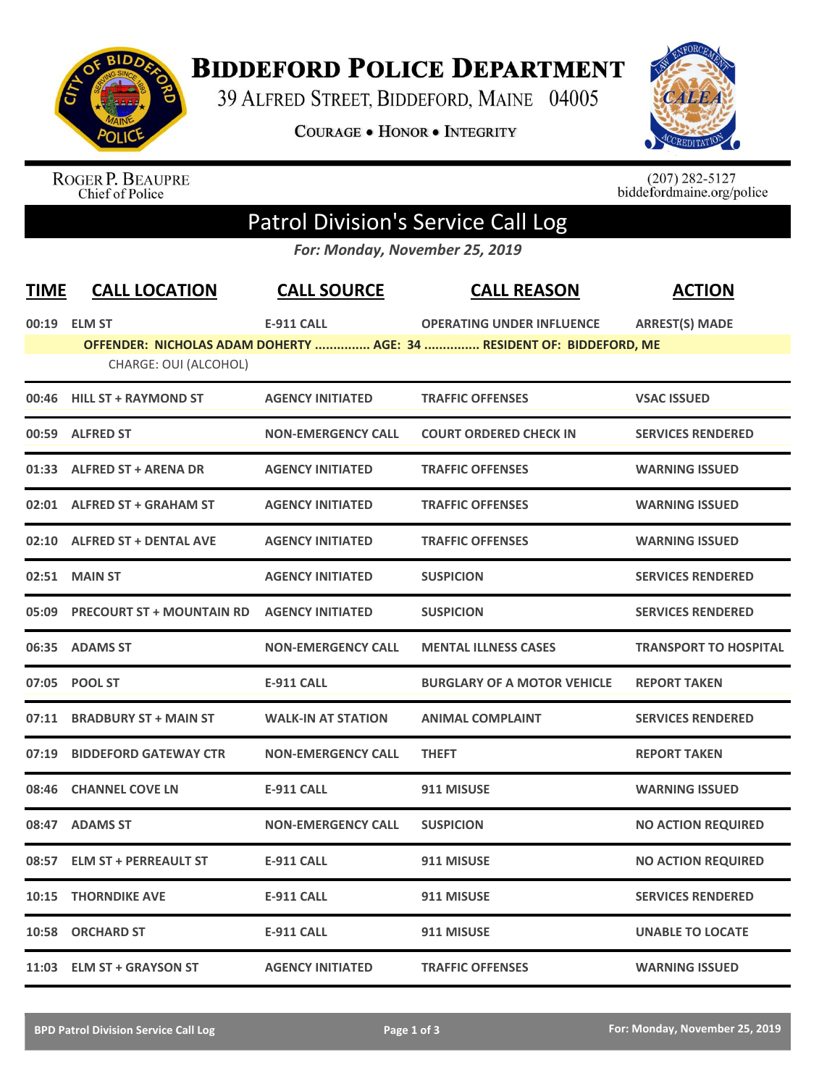

**BIDDEFORD POLICE DEPARTMENT** 

39 ALFRED STREET, BIDDEFORD, MAINE 04005

**COURAGE . HONOR . INTEGRITY** 



ROGER P. BEAUPRE<br>Chief of Police

 $(207)$  282-5127<br>biddefordmaine.org/police

## Patrol Division's Service Call Log

*For: Monday, November 25, 2019*

| <b>TIME</b> | <b>CALL LOCATION</b>                  | <b>CALL SOURCE</b>        | <b>CALL REASON</b>                                                                                       | <b>ACTION</b>                |
|-------------|---------------------------------------|---------------------------|----------------------------------------------------------------------------------------------------------|------------------------------|
|             | 00:19 ELM ST<br>CHARGE: OUI (ALCOHOL) | <b>E-911 CALL</b>         | <b>OPERATING UNDER INFLUENCE</b><br>OFFENDER: NICHOLAS ADAM DOHERTY  AGE: 34  RESIDENT OF: BIDDEFORD, ME | <b>ARREST(S) MADE</b>        |
|             | 00:46 HILL ST + RAYMOND ST            | <b>AGENCY INITIATED</b>   | <b>TRAFFIC OFFENSES</b>                                                                                  | <b>VSAC ISSUED</b>           |
| 00:59       | <b>ALFRED ST</b>                      | <b>NON-EMERGENCY CALL</b> | <b>COURT ORDERED CHECK IN</b>                                                                            | <b>SERVICES RENDERED</b>     |
|             | 01:33 ALFRED ST + ARENA DR            | <b>AGENCY INITIATED</b>   | <b>TRAFFIC OFFENSES</b>                                                                                  | <b>WARNING ISSUED</b>        |
|             | 02:01 ALFRED ST + GRAHAM ST           | <b>AGENCY INITIATED</b>   | <b>TRAFFIC OFFENSES</b>                                                                                  | <b>WARNING ISSUED</b>        |
| 02:10       | <b>ALFRED ST + DENTAL AVE</b>         | <b>AGENCY INITIATED</b>   | <b>TRAFFIC OFFENSES</b>                                                                                  | <b>WARNING ISSUED</b>        |
| 02:51       | <b>MAIN ST</b>                        | <b>AGENCY INITIATED</b>   | <b>SUSPICION</b>                                                                                         | <b>SERVICES RENDERED</b>     |
| 05:09       | <b>PRECOURT ST + MOUNTAIN RD</b>      | <b>AGENCY INITIATED</b>   | <b>SUSPICION</b>                                                                                         | <b>SERVICES RENDERED</b>     |
| 06:35       | <b>ADAMS ST</b>                       | <b>NON-EMERGENCY CALL</b> | <b>MENTAL ILLNESS CASES</b>                                                                              | <b>TRANSPORT TO HOSPITAL</b> |
| 07:05       | <b>POOL ST</b>                        | <b>E-911 CALL</b>         | <b>BURGLARY OF A MOTOR VEHICLE</b>                                                                       | <b>REPORT TAKEN</b>          |
| 07:11       | <b>BRADBURY ST + MAIN ST</b>          | <b>WALK-IN AT STATION</b> | <b>ANIMAL COMPLAINT</b>                                                                                  | <b>SERVICES RENDERED</b>     |
| 07:19       | <b>BIDDEFORD GATEWAY CTR</b>          | <b>NON-EMERGENCY CALL</b> | <b>THEFT</b>                                                                                             | <b>REPORT TAKEN</b>          |
| 08:46       | <b>CHANNEL COVE LN</b>                | <b>E-911 CALL</b>         | 911 MISUSE                                                                                               | <b>WARNING ISSUED</b>        |
| 08:47       | <b>ADAMS ST</b>                       | <b>NON-EMERGENCY CALL</b> | <b>SUSPICION</b>                                                                                         | <b>NO ACTION REQUIRED</b>    |
| 08:57       | <b>ELM ST + PERREAULT ST</b>          | <b>E-911 CALL</b>         | 911 MISUSE                                                                                               | <b>NO ACTION REQUIRED</b>    |
| 10:15       | <b>THORNDIKE AVE</b>                  | <b>E-911 CALL</b>         | 911 MISUSE                                                                                               | <b>SERVICES RENDERED</b>     |
| 10:58       | <b>ORCHARD ST</b>                     | <b>E-911 CALL</b>         | 911 MISUSE                                                                                               | <b>UNABLE TO LOCATE</b>      |
|             | 11:03 ELM ST + GRAYSON ST             | <b>AGENCY INITIATED</b>   | <b>TRAFFIC OFFENSES</b>                                                                                  | <b>WARNING ISSUED</b>        |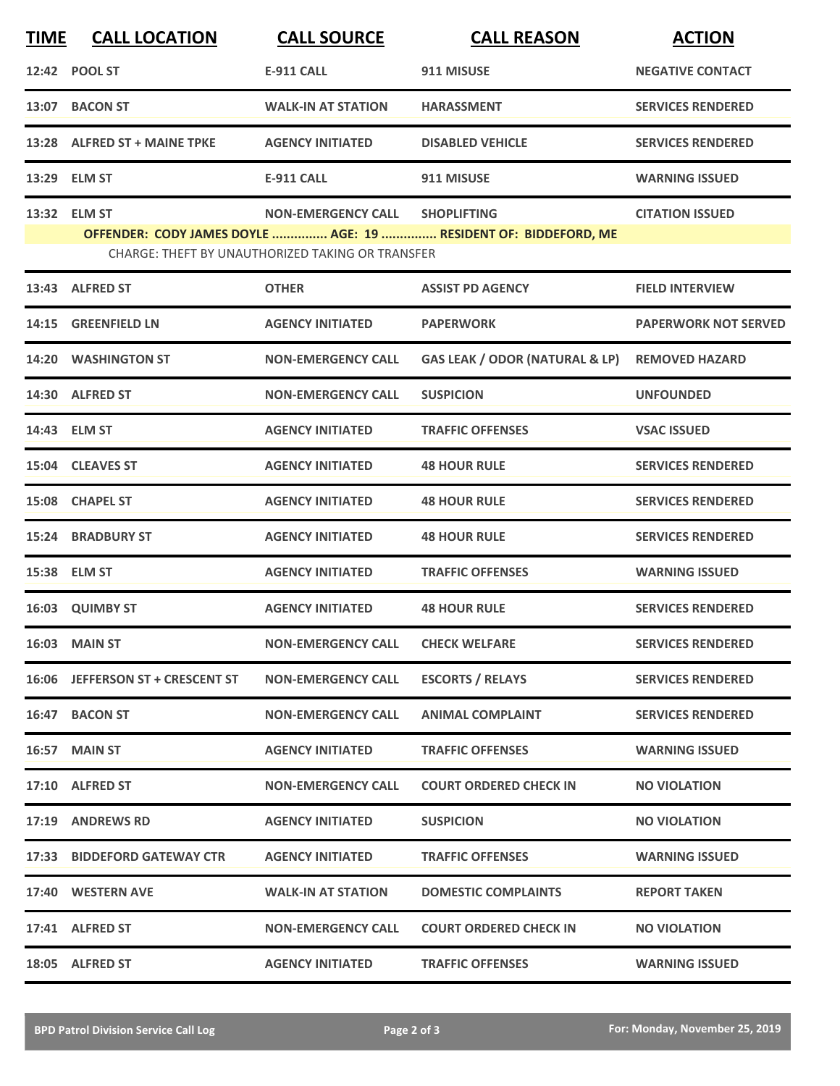| <b>TIME</b> | <b>CALL LOCATION</b>             | <b>CALL SOURCE</b>                                                            | <b>CALL REASON</b>                                                                    | <b>ACTION</b>               |
|-------------|----------------------------------|-------------------------------------------------------------------------------|---------------------------------------------------------------------------------------|-----------------------------|
|             | 12:42 POOL ST                    | <b>E-911 CALL</b>                                                             | 911 MISUSE                                                                            | <b>NEGATIVE CONTACT</b>     |
|             | 13:07 BACON ST                   | <b>WALK-IN AT STATION</b>                                                     | <b>HARASSMENT</b>                                                                     | <b>SERVICES RENDERED</b>    |
| 13:28       | <b>ALFRED ST + MAINE TPKE</b>    | <b>AGENCY INITIATED</b>                                                       | <b>DISABLED VEHICLE</b>                                                               | <b>SERVICES RENDERED</b>    |
|             | 13:29 ELM ST                     | <b>E-911 CALL</b>                                                             | 911 MISUSE                                                                            | <b>WARNING ISSUED</b>       |
|             | 13:32 ELM ST                     | <b>NON-EMERGENCY CALL</b><br>CHARGE: THEFT BY UNAUTHORIZED TAKING OR TRANSFER | <b>SHOPLIFTING</b><br>OFFENDER: CODY JAMES DOYLE  AGE: 19  RESIDENT OF: BIDDEFORD, ME | <b>CITATION ISSUED</b>      |
|             | 13:43 ALFRED ST                  | <b>OTHER</b>                                                                  | <b>ASSIST PD AGENCY</b>                                                               | <b>FIELD INTERVIEW</b>      |
| 14:15       | <b>GREENFIELD LN</b>             | <b>AGENCY INITIATED</b>                                                       | <b>PAPERWORK</b>                                                                      | <b>PAPERWORK NOT SERVED</b> |
|             | 14:20 WASHINGTON ST              | <b>NON-EMERGENCY CALL</b>                                                     | <b>GAS LEAK / ODOR (NATURAL &amp; LP)</b>                                             | <b>REMOVED HAZARD</b>       |
|             | 14:30 ALFRED ST                  | <b>NON-EMERGENCY CALL</b>                                                     | <b>SUSPICION</b>                                                                      | <b>UNFOUNDED</b>            |
|             | 14:43 ELM ST                     | <b>AGENCY INITIATED</b>                                                       | <b>TRAFFIC OFFENSES</b>                                                               | <b>VSAC ISSUED</b>          |
|             | 15:04 CLEAVES ST                 | <b>AGENCY INITIATED</b>                                                       | <b>48 HOUR RULE</b>                                                                   | <b>SERVICES RENDERED</b>    |
|             | 15:08 CHAPEL ST                  | <b>AGENCY INITIATED</b>                                                       | <b>48 HOUR RULE</b>                                                                   | <b>SERVICES RENDERED</b>    |
| 15:24       | <b>BRADBURY ST</b>               | <b>AGENCY INITIATED</b>                                                       | <b>48 HOUR RULE</b>                                                                   | <b>SERVICES RENDERED</b>    |
|             | 15:38 ELM ST                     | <b>AGENCY INITIATED</b>                                                       | <b>TRAFFIC OFFENSES</b>                                                               | <b>WARNING ISSUED</b>       |
|             | 16:03 QUIMBY ST                  | <b>AGENCY INITIATED</b>                                                       | <b>48 HOUR RULE</b>                                                                   | <b>SERVICES RENDERED</b>    |
|             | 16:03 MAIN ST                    | <b>NON-EMERGENCY CALL</b>                                                     | <b>CHECK WELFARE</b>                                                                  | <b>SERVICES RENDERED</b>    |
|             | 16:06 JEFFERSON ST + CRESCENT ST | <b>NON-EMERGENCY CALL</b>                                                     | <b>ESCORTS / RELAYS</b>                                                               | <b>SERVICES RENDERED</b>    |
|             | 16:47 BACON ST                   | <b>NON-EMERGENCY CALL</b>                                                     | <b>ANIMAL COMPLAINT</b>                                                               | <b>SERVICES RENDERED</b>    |
|             | 16:57 MAIN ST                    | <b>AGENCY INITIATED</b>                                                       | <b>TRAFFIC OFFENSES</b>                                                               | <b>WARNING ISSUED</b>       |
|             | 17:10 ALFRED ST                  | <b>NON-EMERGENCY CALL</b>                                                     | <b>COURT ORDERED CHECK IN</b>                                                         | <b>NO VIOLATION</b>         |
|             | 17:19 ANDREWS RD                 | <b>AGENCY INITIATED</b>                                                       | <b>SUSPICION</b>                                                                      | <b>NO VIOLATION</b>         |
|             | 17:33 BIDDEFORD GATEWAY CTR      | <b>AGENCY INITIATED</b>                                                       | <b>TRAFFIC OFFENSES</b>                                                               | <b>WARNING ISSUED</b>       |
|             | 17:40 WESTERN AVE                | <b>WALK-IN AT STATION</b>                                                     | <b>DOMESTIC COMPLAINTS</b>                                                            | <b>REPORT TAKEN</b>         |
|             | 17:41 ALFRED ST                  | <b>NON-EMERGENCY CALL</b>                                                     | <b>COURT ORDERED CHECK IN</b>                                                         | <b>NO VIOLATION</b>         |
|             | 18:05 ALFRED ST                  | <b>AGENCY INITIATED</b>                                                       | <b>TRAFFIC OFFENSES</b>                                                               | <b>WARNING ISSUED</b>       |